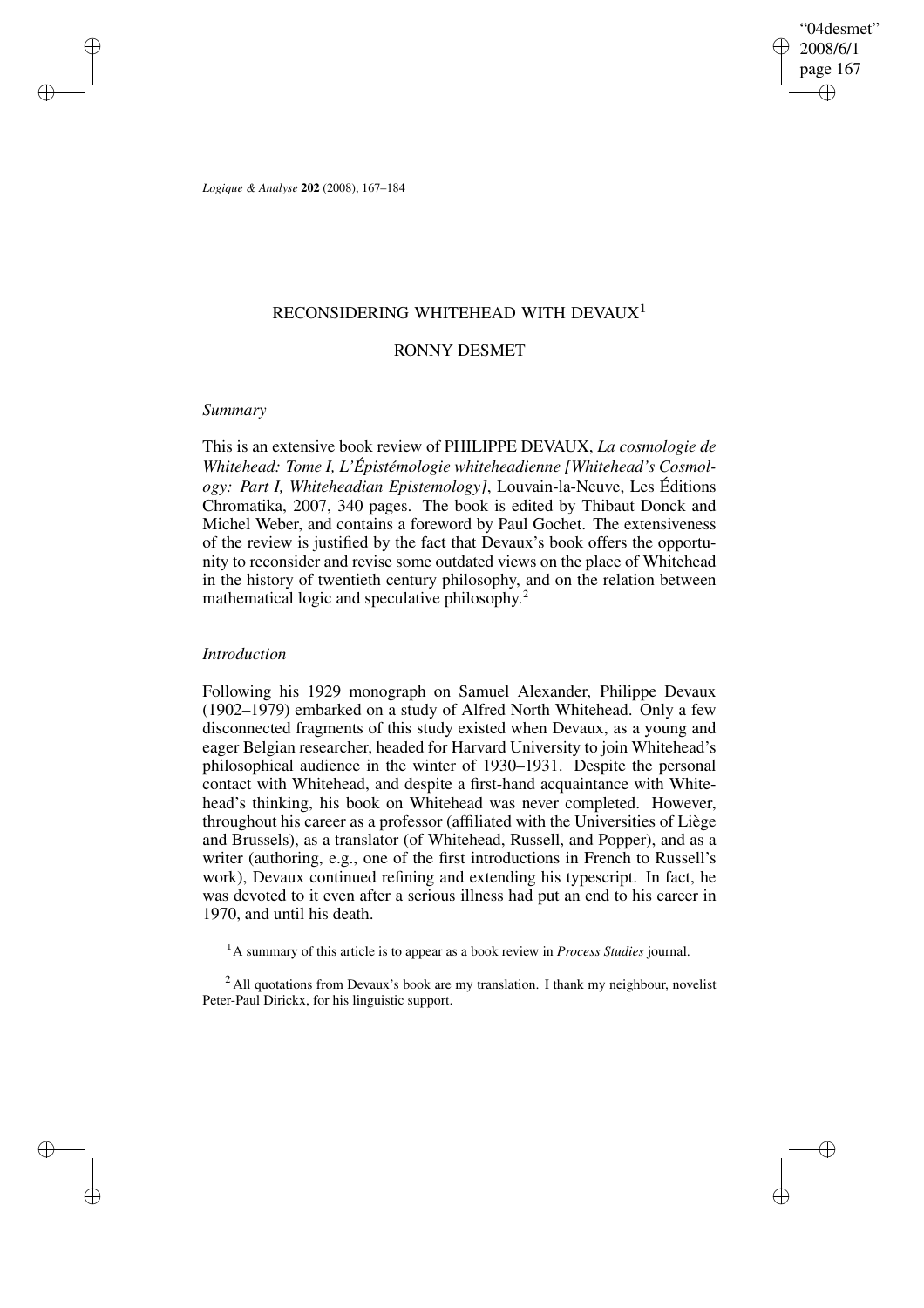"04desmet" 2008/6/1 page 167 ✐ ✐

✐

✐

*Logique & Analyse* **202** (2008), 167–184

# RECONSIDERING WHITEHEAD WITH DEVAUX<sup>1</sup>

# RONNY DESMET

## *Summary*

✐

✐

✐

✐

This is an extensive book review of PHILIPPE DEVAUX, *La cosmologie de Whitehead: Tome I, L'Épistémologie whiteheadienne [Whitehead's Cosmology: Part I, Whiteheadian Epistemology]*, Louvain-la-Neuve, Les Éditions Chromatika, 2007, 340 pages. The book is edited by Thibaut Donck and Michel Weber, and contains a foreword by Paul Gochet. The extensiveness of the review is justified by the fact that Devaux's book offers the opportunity to reconsider and revise some outdated views on the place of Whitehead in the history of twentieth century philosophy, and on the relation between mathematical logic and speculative philosophy. 2

# *Introduction*

Following his 1929 monograph on Samuel Alexander, Philippe Devaux (1902–1979) embarked on a study of Alfred North Whitehead. Only a few disconnected fragments of this study existed when Devaux, as a young and eager Belgian researcher, headed for Harvard University to join Whitehead's philosophical audience in the winter of 1930–1931. Despite the personal contact with Whitehead, and despite a first-hand acquaintance with Whitehead's thinking, his book on Whitehead was never completed. However, throughout his career as a professor (affiliated with the Universities of Liège and Brussels), as a translator (of Whitehead, Russell, and Popper), and as a writer (authoring, e.g., one of the first introductions in French to Russell's work), Devaux continued refining and extending his typescript. In fact, he was devoted to it even after a serious illness had put an end to his career in 1970, and until his death.

<sup>1</sup>A summary of this article is to appear as a book review in *Process Studies* journal.

<sup>2</sup> All quotations from Devaux's book are my translation. I thank my neighbour, novelist Peter-Paul Dirickx, for his linguistic support.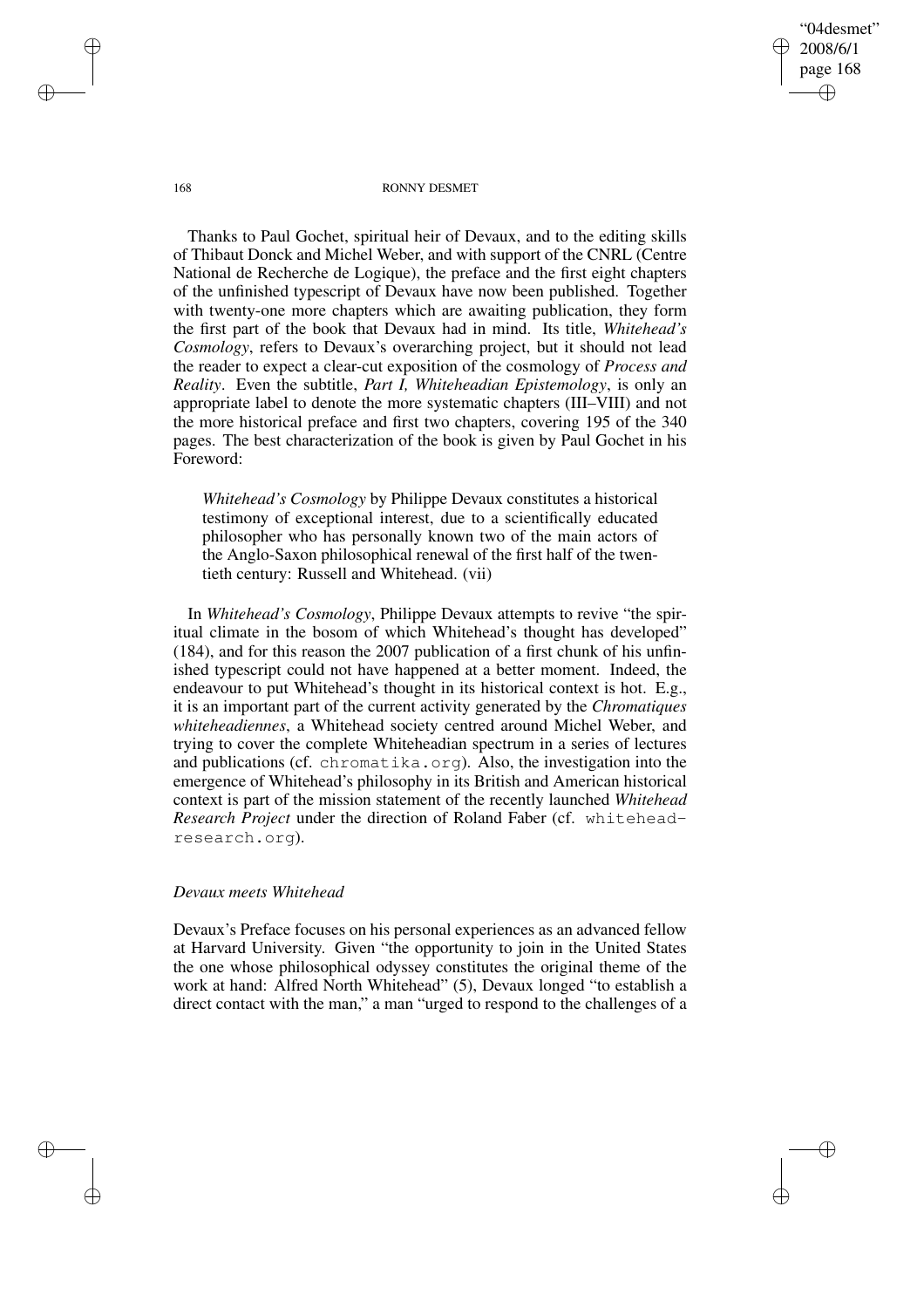"04desmet" 2008/6/1 page 168 ✐ ✐

✐

✐

168 RONNY DESMET

Thanks to Paul Gochet, spiritual heir of Devaux, and to the editing skills of Thibaut Donck and Michel Weber, and with support of the CNRL (Centre National de Recherche de Logique), the preface and the first eight chapters of the unfinished typescript of Devaux have now been published. Together with twenty-one more chapters which are awaiting publication, they form the first part of the book that Devaux had in mind. Its title, *Whitehead's Cosmology*, refers to Devaux's overarching project, but it should not lead the reader to expect a clear-cut exposition of the cosmology of *Process and Reality*. Even the subtitle, *Part I, Whiteheadian Epistemology*, is only an appropriate label to denote the more systematic chapters (III–VIII) and not the more historical preface and first two chapters, covering 195 of the 340 pages. The best characterization of the book is given by Paul Gochet in his Foreword:

*Whitehead's Cosmology* by Philippe Devaux constitutes a historical testimony of exceptional interest, due to a scientifically educated philosopher who has personally known two of the main actors of the Anglo-Saxon philosophical renewal of the first half of the twentieth century: Russell and Whitehead. (vii)

In *Whitehead's Cosmology*, Philippe Devaux attempts to revive "the spiritual climate in the bosom of which Whitehead's thought has developed" (184), and for this reason the 2007 publication of a first chunk of his unfinished typescript could not have happened at a better moment. Indeed, the endeavour to put Whitehead's thought in its historical context is hot. E.g., it is an important part of the current activity generated by the *Chromatiques whiteheadiennes*, a Whitehead society centred around Michel Weber, and trying to cover the complete Whiteheadian spectrum in a series of lectures and publications (cf. chromatika.org). Also, the investigation into the emergence of Whitehead's philosophy in its British and American historical context is part of the mission statement of the recently launched *Whitehead Research Project* under the direction of Roland Faber (cf. whiteheadresearch.org).

## *Devaux meets Whitehead*

Devaux's Preface focuses on his personal experiences as an advanced fellow at Harvard University. Given "the opportunity to join in the United States the one whose philosophical odyssey constitutes the original theme of the work at hand: Alfred North Whitehead" (5), Devaux longed "to establish a direct contact with the man," a man "urged to respond to the challenges of a

✐

✐

✐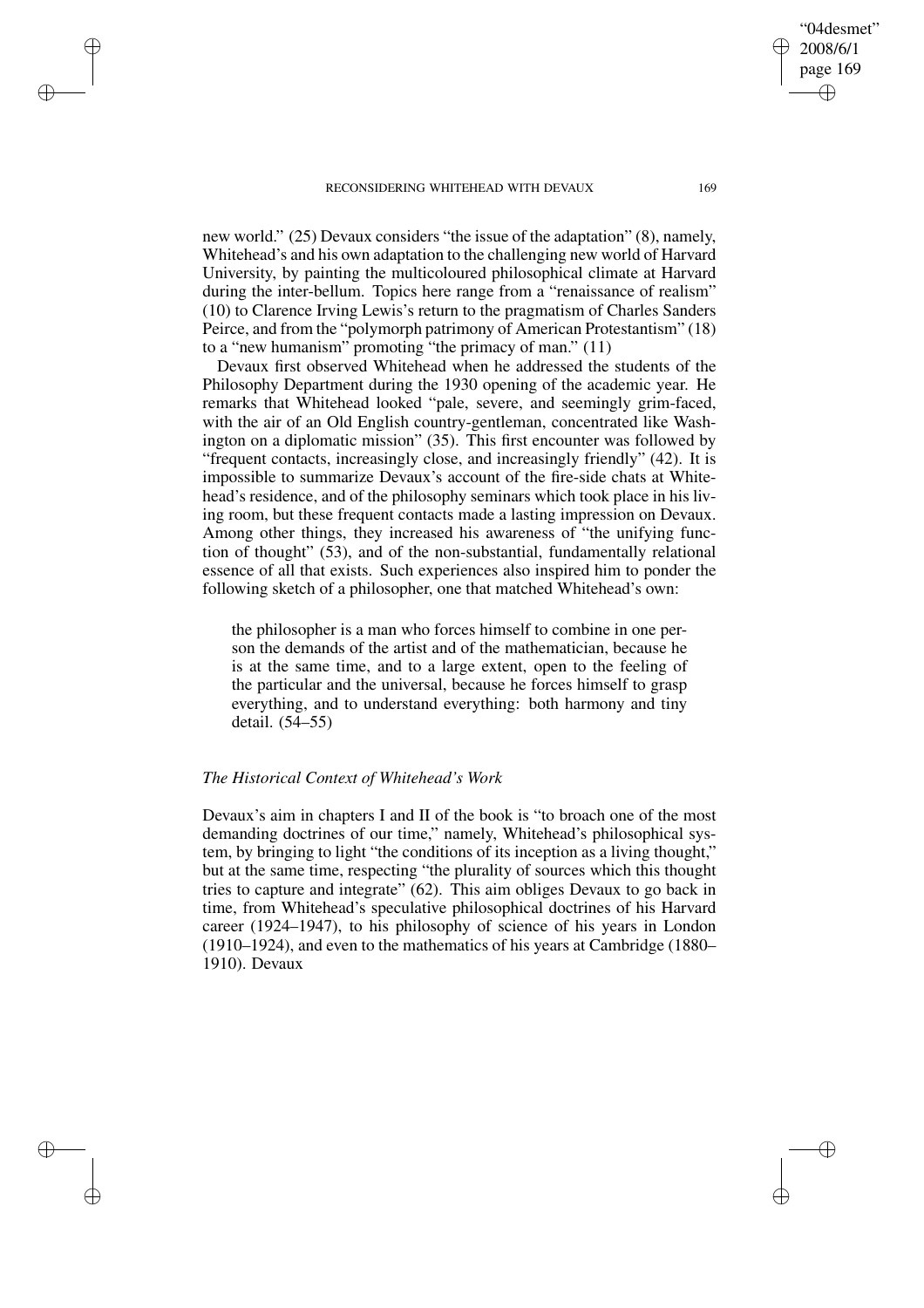✐

✐

✐

✐

new world." (25) Devaux considers "the issue of the adaptation" (8), namely, Whitehead's and his own adaptation to the challenging new world of Harvard University, by painting the multicoloured philosophical climate at Harvard during the inter-bellum. Topics here range from a "renaissance of realism" (10) to Clarence Irving Lewis's return to the pragmatism of Charles Sanders Peirce, and from the "polymorph patrimony of American Protestantism" (18) to a "new humanism" promoting "the primacy of man." (11)

Devaux first observed Whitehead when he addressed the students of the Philosophy Department during the 1930 opening of the academic year. He remarks that Whitehead looked "pale, severe, and seemingly grim-faced, with the air of an Old English country-gentleman, concentrated like Washington on a diplomatic mission" (35). This first encounter was followed by "frequent contacts, increasingly close, and increasingly friendly" (42). It is impossible to summarize Devaux's account of the fire-side chats at Whitehead's residence, and of the philosophy seminars which took place in his living room, but these frequent contacts made a lasting impression on Devaux. Among other things, they increased his awareness of "the unifying function of thought" (53), and of the non-substantial, fundamentally relational essence of all that exists. Such experiences also inspired him to ponder the following sketch of a philosopher, one that matched Whitehead's own:

the philosopher is a man who forces himself to combine in one person the demands of the artist and of the mathematician, because he is at the same time, and to a large extent, open to the feeling of the particular and the universal, because he forces himself to grasp everything, and to understand everything: both harmony and tiny detail. (54–55)

## *The Historical Context of Whitehead's Work*

Devaux's aim in chapters I and II of the book is "to broach one of the most demanding doctrines of our time," namely, Whitehead's philosophical system, by bringing to light "the conditions of its inception as a living thought," but at the same time, respecting "the plurality of sources which this thought tries to capture and integrate" (62). This aim obliges Devaux to go back in time, from Whitehead's speculative philosophical doctrines of his Harvard career (1924–1947), to his philosophy of science of his years in London (1910–1924), and even to the mathematics of his years at Cambridge (1880– 1910). Devaux

"04desmet" 2008/6/1 page 169

✐

✐

✐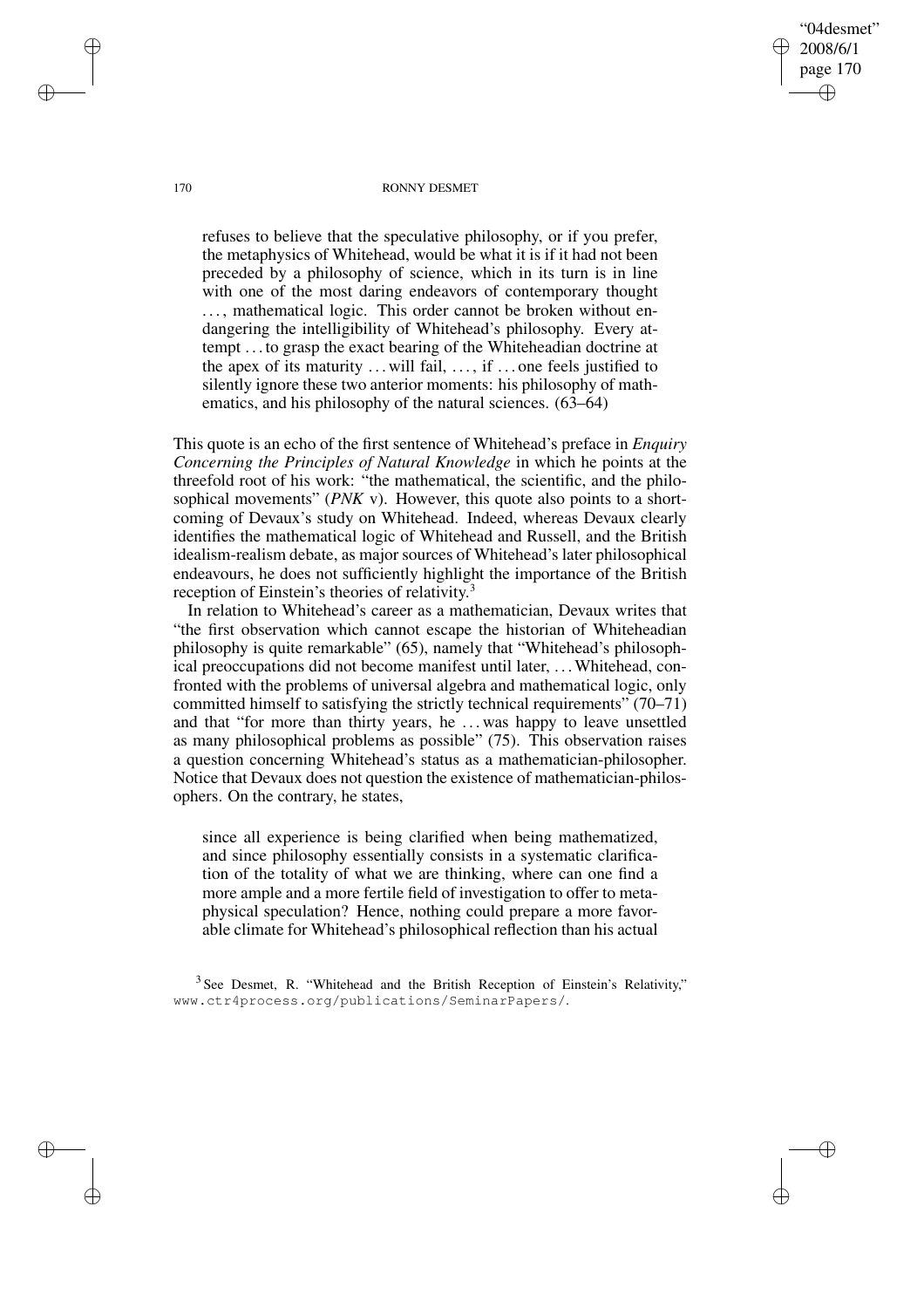170 RONNY DESMET

"04desmet" 2008/6/1 page 170

✐

✐

✐

✐

refuses to believe that the speculative philosophy, or if you prefer, the metaphysics of Whitehead, would be what it is if it had not been preceded by a philosophy of science, which in its turn is in line with one of the most daring endeavors of contemporary thought ..., mathematical logic. This order cannot be broken without endangering the intelligibility of Whitehead's philosophy. Every attempt . . . to grasp the exact bearing of the Whiteheadian doctrine at the apex of its maturity  $\dots$  will fail,  $\dots$ , if  $\dots$  one feels justified to silently ignore these two anterior moments: his philosophy of mathematics, and his philosophy of the natural sciences. (63–64)

This quote is an echo of the first sentence of Whitehead's preface in *Enquiry Concerning the Principles of Natural Knowledge* in which he points at the threefold root of his work: "the mathematical, the scientific, and the philosophical movements" (*PNK* v). However, this quote also points to a shortcoming of Devaux's study on Whitehead. Indeed, whereas Devaux clearly identifies the mathematical logic of Whitehead and Russell, and the British idealism-realism debate, as major sources of Whitehead's later philosophical endeavours, he does not sufficiently highlight the importance of the British reception of Einstein's theories of relativity.<sup>3</sup>

In relation to Whitehead's career as a mathematician, Devaux writes that "the first observation which cannot escape the historian of Whiteheadian philosophy is quite remarkable" (65), namely that "Whitehead's philosophical preoccupations did not become manifest until later, . . .Whitehead, confronted with the problems of universal algebra and mathematical logic, only committed himself to satisfying the strictly technical requirements" (70–71) and that "for more than thirty years, he . . . was happy to leave unsettled as many philosophical problems as possible" (75). This observation raises a question concerning Whitehead's status as a mathematician-philosopher. Notice that Devaux does not question the existence of mathematician-philosophers. On the contrary, he states,

since all experience is being clarified when being mathematized, and since philosophy essentially consists in a systematic clarification of the totality of what we are thinking, where can one find a more ample and a more fertile field of investigation to offer to metaphysical speculation? Hence, nothing could prepare a more favorable climate for Whitehead's philosophical reflection than his actual

 $3$  See Desmet, R. "Whitehead and the British Reception of Einstein's Relativity," www.ctr4process.org/publications/SeminarPapers/.

✐

✐

✐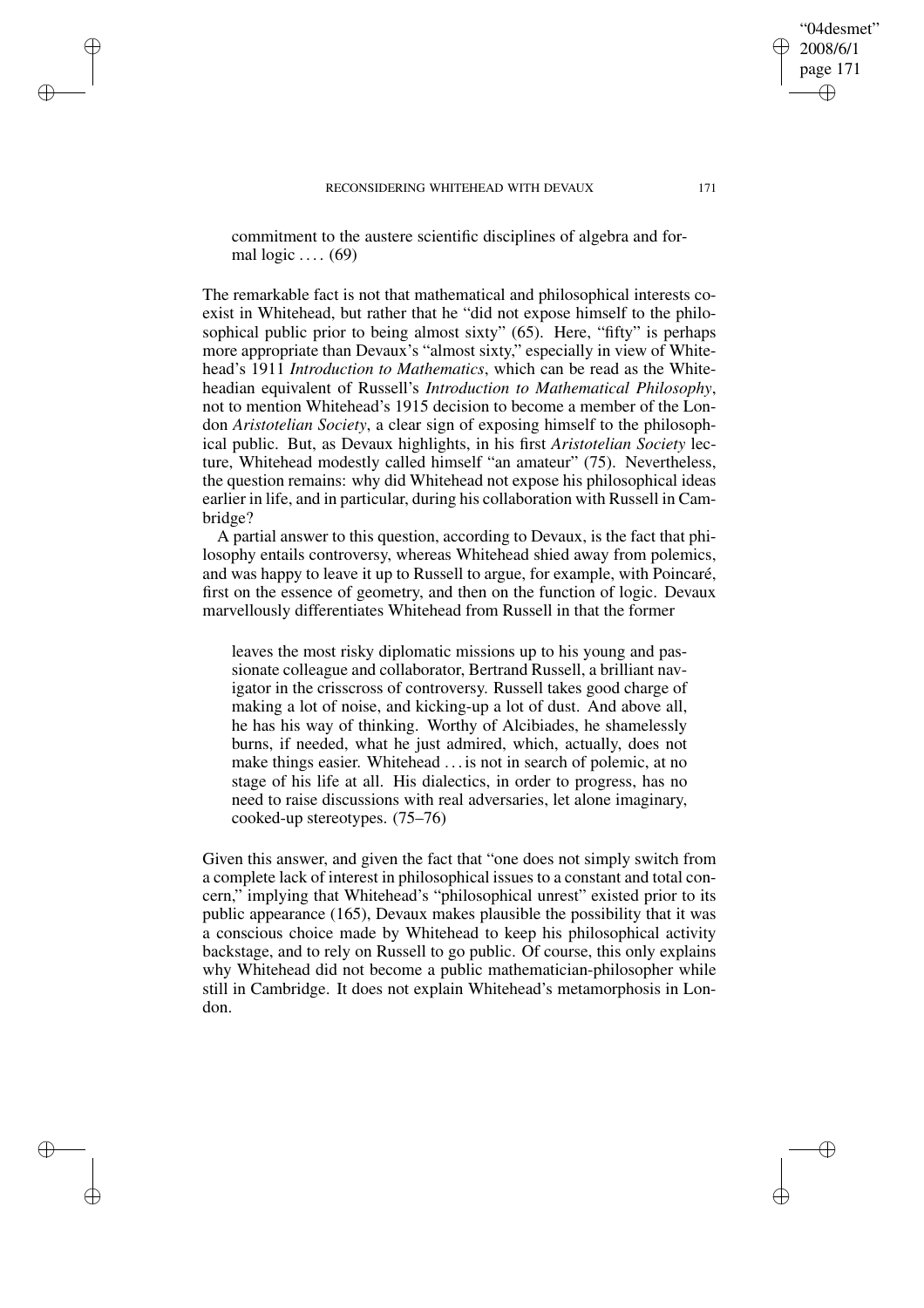✐

✐

✐

✐

commitment to the austere scientific disciplines of algebra and formal  $logic \dots (69)$ 

The remarkable fact is not that mathematical and philosophical interests coexist in Whitehead, but rather that he "did not expose himself to the philosophical public prior to being almost sixty" (65). Here, "fifty" is perhaps more appropriate than Devaux's "almost sixty," especially in view of Whitehead's 1911 *Introduction to Mathematics*, which can be read as the Whiteheadian equivalent of Russell's *Introduction to Mathematical Philosophy*, not to mention Whitehead's 1915 decision to become a member of the London *Aristotelian Society*, a clear sign of exposing himself to the philosophical public. But, as Devaux highlights, in his first *Aristotelian Society* lecture, Whitehead modestly called himself "an amateur" (75). Nevertheless, the question remains: why did Whitehead not expose his philosophical ideas earlier in life, and in particular, during his collaboration with Russell in Cambridge?

A partial answer to this question, according to Devaux, is the fact that philosophy entails controversy, whereas Whitehead shied away from polemics, and was happy to leave it up to Russell to argue, for example, with Poincaré, first on the essence of geometry, and then on the function of logic. Devaux marvellously differentiates Whitehead from Russell in that the former

leaves the most risky diplomatic missions up to his young and passionate colleague and collaborator, Bertrand Russell, a brilliant navigator in the crisscross of controversy. Russell takes good charge of making a lot of noise, and kicking-up a lot of dust. And above all, he has his way of thinking. Worthy of Alcibiades, he shamelessly burns, if needed, what he just admired, which, actually, does not make things easier. Whitehead . . . is not in search of polemic, at no stage of his life at all. His dialectics, in order to progress, has no need to raise discussions with real adversaries, let alone imaginary, cooked-up stereotypes. (75–76)

Given this answer, and given the fact that "one does not simply switch from a complete lack of interest in philosophical issues to a constant and total concern," implying that Whitehead's "philosophical unrest" existed prior to its public appearance (165), Devaux makes plausible the possibility that it was a conscious choice made by Whitehead to keep his philosophical activity backstage, and to rely on Russell to go public. Of course, this only explains why Whitehead did not become a public mathematician-philosopher while still in Cambridge. It does not explain Whitehead's metamorphosis in London.

"04desmet" 2008/6/1 page 171

✐

✐

✐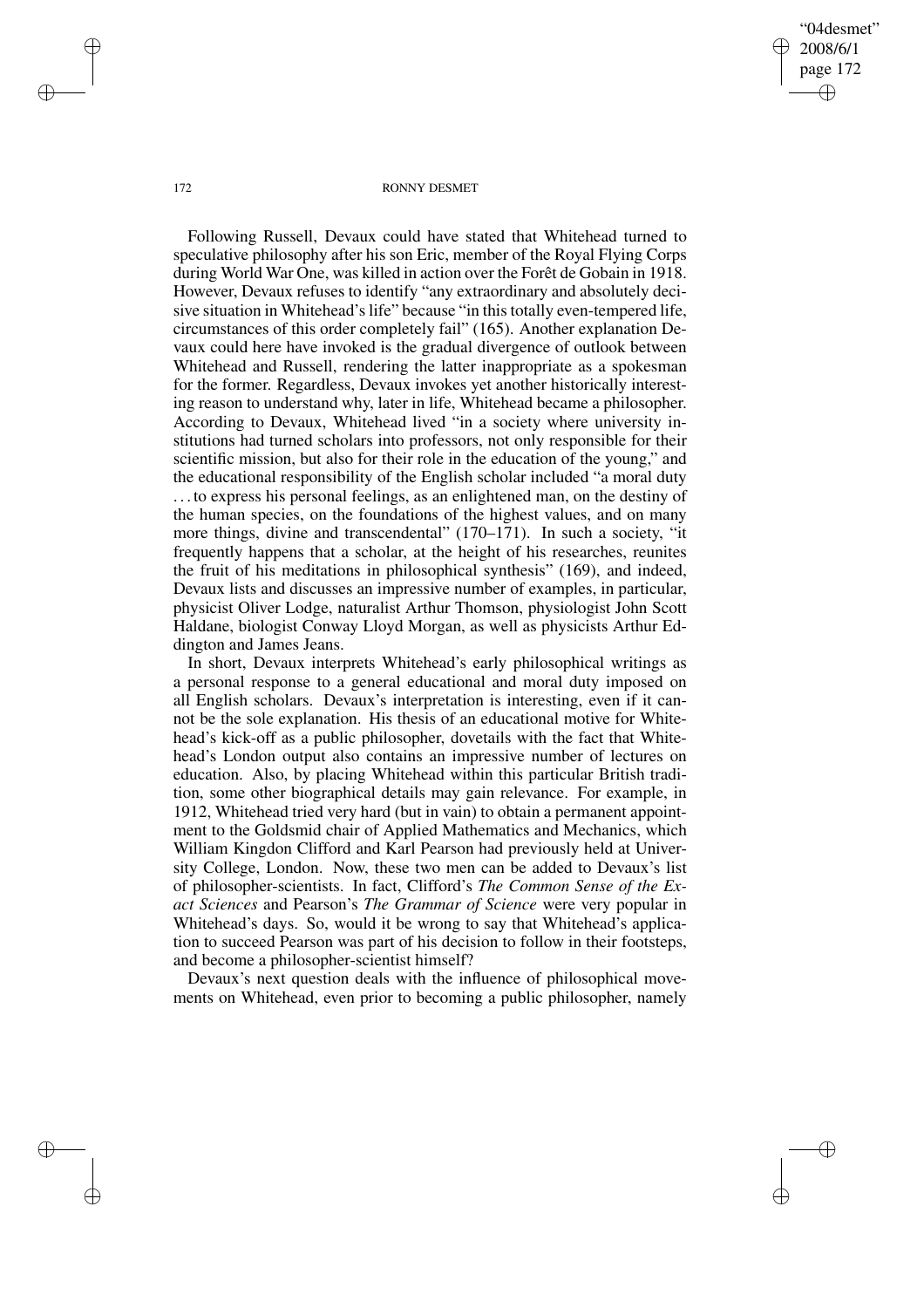"04desmet" 2008/6/1 page 172 ✐ ✐

✐

✐

#### 172 RONNY DESMET

Following Russell, Devaux could have stated that Whitehead turned to speculative philosophy after his son Eric, member of the Royal Flying Corps during World War One, was killed in action over the Forêt de Gobain in 1918. However, Devaux refuses to identify "any extraordinary and absolutely decisive situation in Whitehead's life" because "in this totally even-tempered life, circumstances of this order completely fail" (165). Another explanation Devaux could here have invoked is the gradual divergence of outlook between Whitehead and Russell, rendering the latter inappropriate as a spokesman for the former. Regardless, Devaux invokes yet another historically interesting reason to understand why, later in life, Whitehead became a philosopher. According to Devaux, Whitehead lived "in a society where university institutions had turned scholars into professors, not only responsible for their scientific mission, but also for their role in the education of the young," and the educational responsibility of the English scholar included "a moral duty . . . to express his personal feelings, as an enlightened man, on the destiny of the human species, on the foundations of the highest values, and on many more things, divine and transcendental" (170–171). In such a society, "it frequently happens that a scholar, at the height of his researches, reunites the fruit of his meditations in philosophical synthesis" (169), and indeed, Devaux lists and discusses an impressive number of examples, in particular, physicist Oliver Lodge, naturalist Arthur Thomson, physiologist John Scott Haldane, biologist Conway Lloyd Morgan, as well as physicists Arthur Eddington and James Jeans.

In short, Devaux interprets Whitehead's early philosophical writings as a personal response to a general educational and moral duty imposed on all English scholars. Devaux's interpretation is interesting, even if it cannot be the sole explanation. His thesis of an educational motive for Whitehead's kick-off as a public philosopher, dovetails with the fact that Whitehead's London output also contains an impressive number of lectures on education. Also, by placing Whitehead within this particular British tradition, some other biographical details may gain relevance. For example, in 1912, Whitehead tried very hard (but in vain) to obtain a permanent appointment to the Goldsmid chair of Applied Mathematics and Mechanics, which William Kingdon Clifford and Karl Pearson had previously held at University College, London. Now, these two men can be added to Devaux's list of philosopher-scientists. In fact, Clifford's *The Common Sense of the Exact Sciences* and Pearson's *The Grammar of Science* were very popular in Whitehead's days. So, would it be wrong to say that Whitehead's application to succeed Pearson was part of his decision to follow in their footsteps, and become a philosopher-scientist himself?

Devaux's next question deals with the influence of philosophical movements on Whitehead, even prior to becoming a public philosopher, namely

✐

✐

✐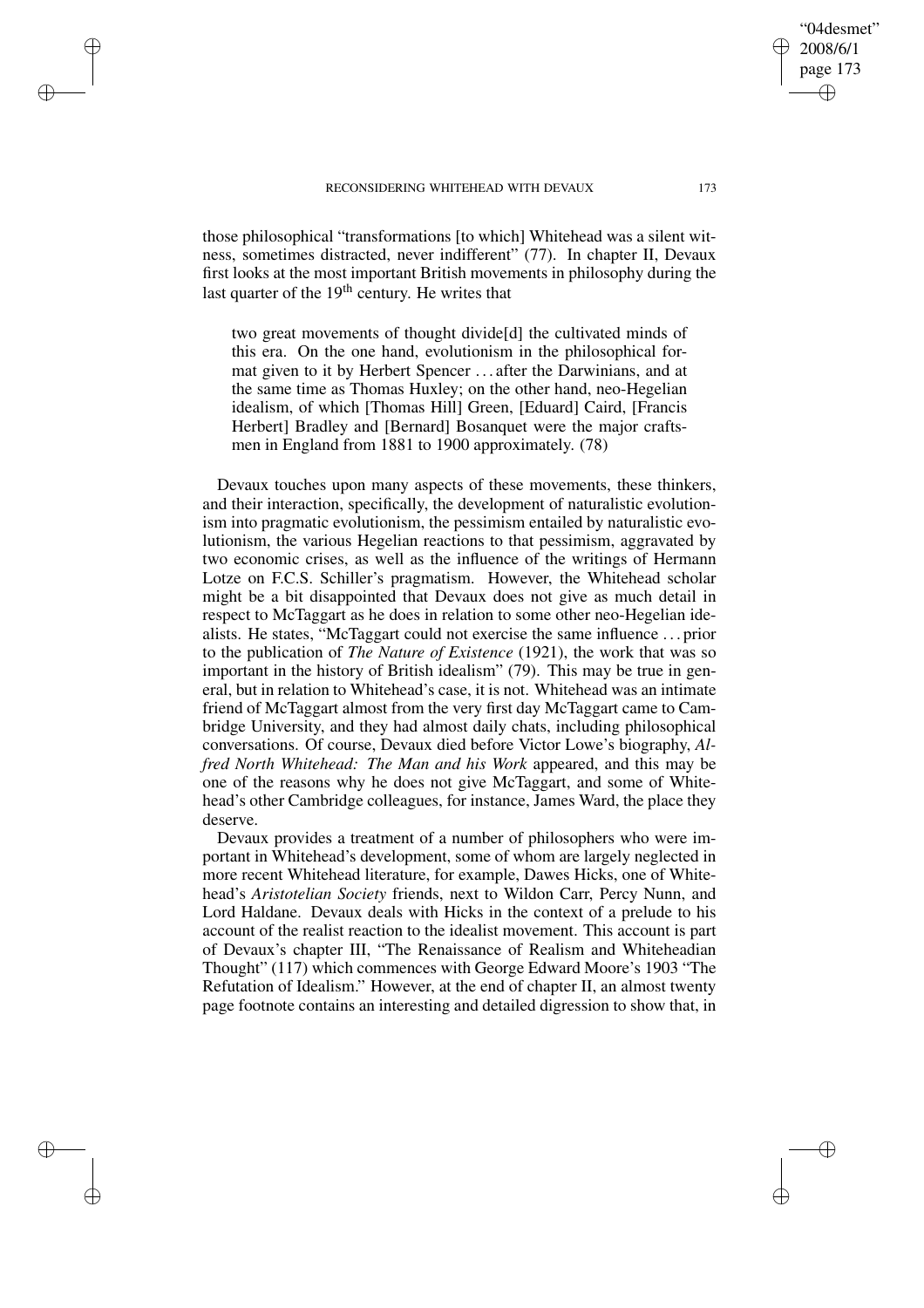✐

✐

✐

✐

those philosophical "transformations [to which] Whitehead was a silent witness, sometimes distracted, never indifferent" (77). In chapter II, Devaux first looks at the most important British movements in philosophy during the last quarter of the  $19<sup>th</sup>$  century. He writes that

two great movements of thought divide[d] the cultivated minds of this era. On the one hand, evolutionism in the philosophical format given to it by Herbert Spencer . . . after the Darwinians, and at the same time as Thomas Huxley; on the other hand, neo-Hegelian idealism, of which [Thomas Hill] Green, [Eduard] Caird, [Francis Herbert] Bradley and [Bernard] Bosanquet were the major craftsmen in England from 1881 to 1900 approximately. (78)

Devaux touches upon many aspects of these movements, these thinkers, and their interaction, specifically, the development of naturalistic evolutionism into pragmatic evolutionism, the pessimism entailed by naturalistic evolutionism, the various Hegelian reactions to that pessimism, aggravated by two economic crises, as well as the influence of the writings of Hermann Lotze on F.C.S. Schiller's pragmatism. However, the Whitehead scholar might be a bit disappointed that Devaux does not give as much detail in respect to McTaggart as he does in relation to some other neo-Hegelian idealists. He states, "McTaggart could not exercise the same influence . . . prior to the publication of *The Nature of Existence* (1921), the work that was so important in the history of British idealism" (79). This may be true in general, but in relation to Whitehead's case, it is not. Whitehead was an intimate friend of McTaggart almost from the very first day McTaggart came to Cambridge University, and they had almost daily chats, including philosophical conversations. Of course, Devaux died before Victor Lowe's biography, *Alfred North Whitehead: The Man and his Work* appeared, and this may be one of the reasons why he does not give McTaggart, and some of Whitehead's other Cambridge colleagues, for instance, James Ward, the place they deserve.

Devaux provides a treatment of a number of philosophers who were important in Whitehead's development, some of whom are largely neglected in more recent Whitehead literature, for example, Dawes Hicks, one of Whitehead's *Aristotelian Society* friends, next to Wildon Carr, Percy Nunn, and Lord Haldane. Devaux deals with Hicks in the context of a prelude to his account of the realist reaction to the idealist movement. This account is part of Devaux's chapter III, "The Renaissance of Realism and Whiteheadian Thought" (117) which commences with George Edward Moore's 1903 "The Refutation of Idealism." However, at the end of chapter II, an almost twenty page footnote contains an interesting and detailed digression to show that, in

"04desmet" 2008/6/1 page 173

✐

✐

✐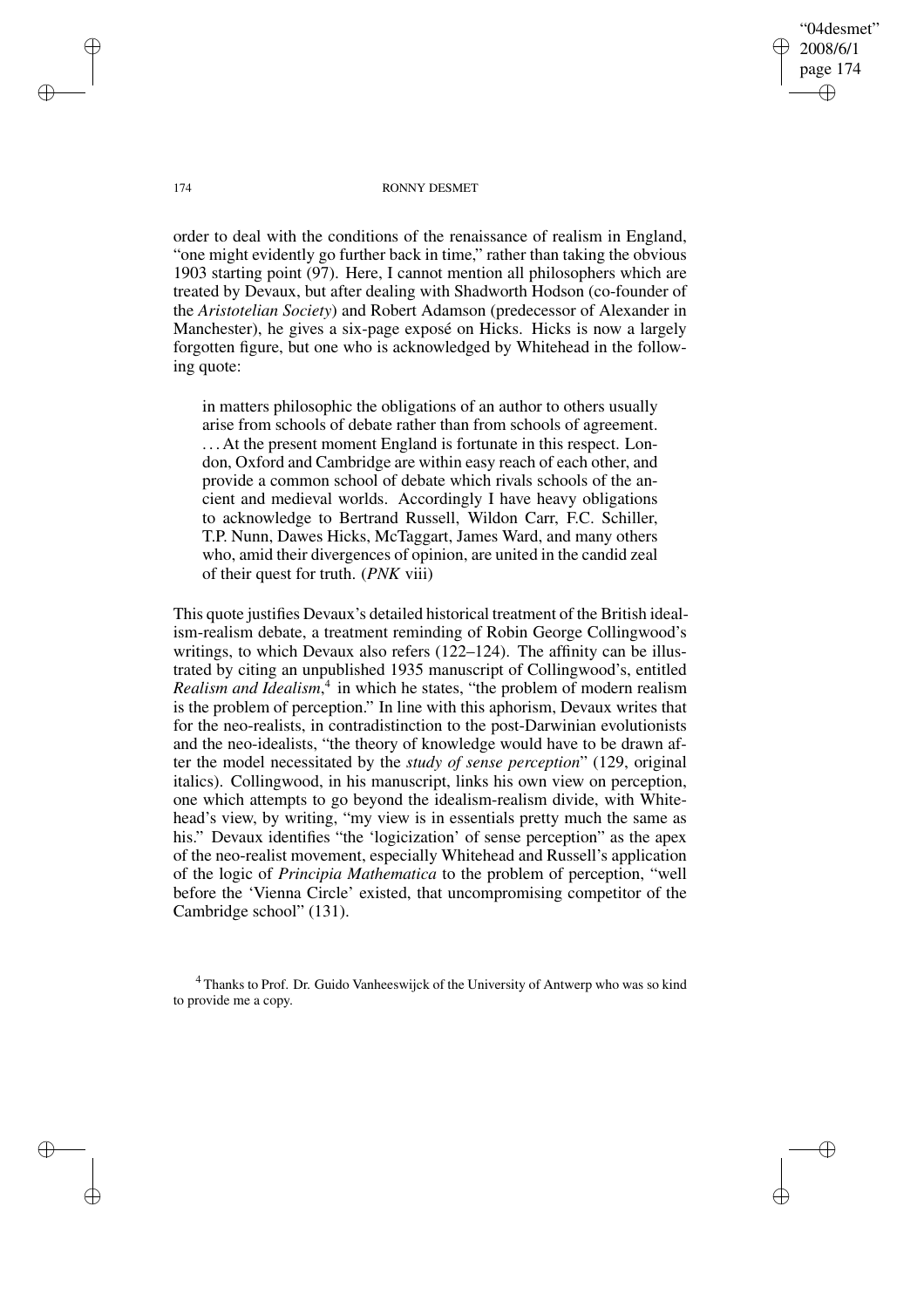"04desmet" 2008/6/1 page 174 ✐ ✐

✐

✐

### 174 RONNY DESMET

order to deal with the conditions of the renaissance of realism in England, "one might evidently go further back in time," rather than taking the obvious 1903 starting point (97). Here, I cannot mention all philosophers which are treated by Devaux, but after dealing with Shadworth Hodson (co-founder of the *Aristotelian Society*) and Robert Adamson (predecessor of Alexander in Manchester), he gives a six-page exposé on Hicks. Hicks is now a largely forgotten figure, but one who is acknowledged by Whitehead in the following quote:

in matters philosophic the obligations of an author to others usually arise from schools of debate rather than from schools of agreement. . . . At the present moment England is fortunate in this respect. London, Oxford and Cambridge are within easy reach of each other, and provide a common school of debate which rivals schools of the ancient and medieval worlds. Accordingly I have heavy obligations to acknowledge to Bertrand Russell, Wildon Carr, F.C. Schiller, T.P. Nunn, Dawes Hicks, McTaggart, James Ward, and many others who, amid their divergences of opinion, are united in the candid zeal of their quest for truth. (*PNK* viii)

This quote justifies Devaux's detailed historical treatment of the British idealism-realism debate, a treatment reminding of Robin George Collingwood's writings, to which Devaux also refers (122–124). The affinity can be illustrated by citing an unpublished 1935 manuscript of Collingwood's, entitled *Realism and Idealism*, 4 in which he states, "the problem of modern realism is the problem of perception." In line with this aphorism, Devaux writes that for the neo-realists, in contradistinction to the post-Darwinian evolutionists and the neo-idealists, "the theory of knowledge would have to be drawn after the model necessitated by the *study of sense perception*" (129, original italics). Collingwood, in his manuscript, links his own view on perception, one which attempts to go beyond the idealism-realism divide, with Whitehead's view, by writing, "my view is in essentials pretty much the same as his." Devaux identifies "the 'logicization' of sense perception" as the apex of the neo-realist movement, especially Whitehead and Russell's application of the logic of *Principia Mathematica* to the problem of perception, "well before the 'Vienna Circle' existed, that uncompromising competitor of the Cambridge school" (131).

<sup>4</sup> Thanks to Prof. Dr. Guido Vanheeswijck of the University of Antwerp who was so kind to provide me a copy.

✐

✐

✐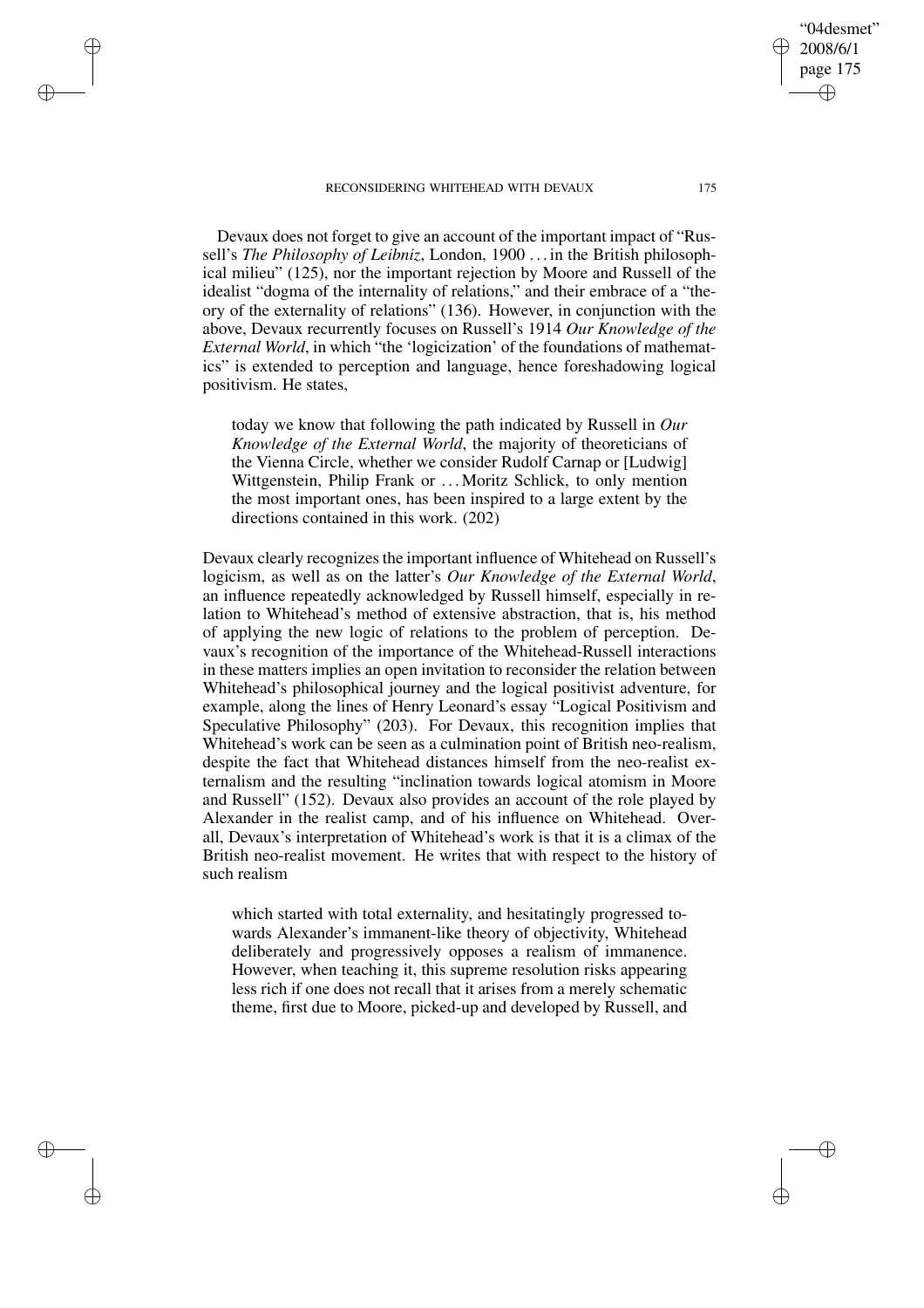✐

✐

✐

✐

Devaux does not forget to give an account of the important impact of "Russell's *The Philosophy of Leibniz*, London, 1900 . . . in the British philosophical milieu" (125), nor the important rejection by Moore and Russell of the idealist "dogma of the internality of relations," and their embrace of a "theory of the externality of relations" (136). However, in conjunction with the above, Devaux recurrently focuses on Russell's 1914 *Our Knowledge of the External World*, in which "the 'logicization' of the foundations of mathematics" is extended to perception and language, hence foreshadowing logical positivism. He states,

today we know that following the path indicated by Russell in *Our Knowledge of the External World*, the majority of theoreticians of the Vienna Circle, whether we consider Rudolf Carnap or [Ludwig] Wittgenstein, Philip Frank or ... Moritz Schlick, to only mention the most important ones, has been inspired to a large extent by the directions contained in this work. (202)

Devaux clearly recognizes the important influence of Whitehead on Russell's logicism, as well as on the latter's *Our Knowledge of the External World*, an influence repeatedly acknowledged by Russell himself, especially in relation to Whitehead's method of extensive abstraction, that is, his method of applying the new logic of relations to the problem of perception. Devaux's recognition of the importance of the Whitehead-Russell interactions in these matters implies an open invitation to reconsider the relation between Whitehead's philosophical journey and the logical positivist adventure, for example, along the lines of Henry Leonard's essay "Logical Positivism and Speculative Philosophy" (203). For Devaux, this recognition implies that Whitehead's work can be seen as a culmination point of British neo-realism, despite the fact that Whitehead distances himself from the neo-realist externalism and the resulting "inclination towards logical atomism in Moore and Russell" (152). Devaux also provides an account of the role played by Alexander in the realist camp, and of his influence on Whitehead. Overall, Devaux's interpretation of Whitehead's work is that it is a climax of the British neo-realist movement. He writes that with respect to the history of such realism

which started with total externality, and hesitatingly progressed towards Alexander's immanent-like theory of objectivity, Whitehead deliberately and progressively opposes a realism of immanence. However, when teaching it, this supreme resolution risks appearing less rich if one does not recall that it arises from a merely schematic theme, first due to Moore, picked-up and developed by Russell, and

"04desmet" 2008/6/1 page 175

✐

✐

✐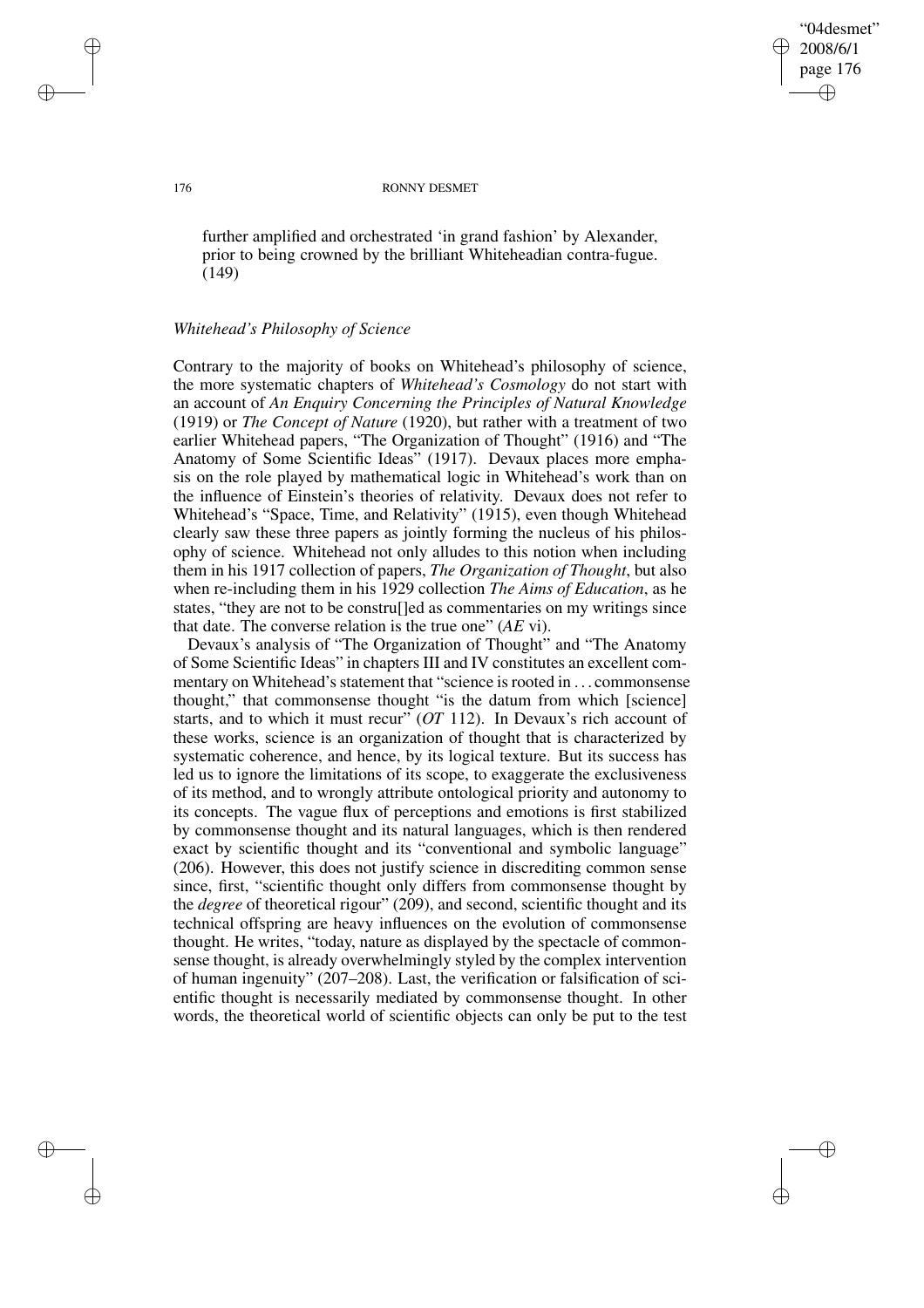"04desmet" 2008/6/1 page 176 ✐ ✐

✐

✐

### 176 RONNY DESMET

further amplified and orchestrated 'in grand fashion' by Alexander, prior to being crowned by the brilliant Whiteheadian contra-fugue. (149)

## *Whitehead's Philosophy of Science*

Contrary to the majority of books on Whitehead's philosophy of science, the more systematic chapters of *Whitehead's Cosmology* do not start with an account of *An Enquiry Concerning the Principles of Natural Knowledge* (1919) or *The Concept of Nature* (1920), but rather with a treatment of two earlier Whitehead papers, "The Organization of Thought" (1916) and "The Anatomy of Some Scientific Ideas" (1917). Devaux places more emphasis on the role played by mathematical logic in Whitehead's work than on the influence of Einstein's theories of relativity. Devaux does not refer to Whitehead's "Space, Time, and Relativity" (1915), even though Whitehead clearly saw these three papers as jointly forming the nucleus of his philosophy of science. Whitehead not only alludes to this notion when including them in his 1917 collection of papers, *The Organization of Thought*, but also when re-including them in his 1929 collection *The Aims of Education*, as he states, "they are not to be constru[]ed as commentaries on my writings since that date. The converse relation is the true one" (*AE* vi).

Devaux's analysis of "The Organization of Thought" and "The Anatomy of Some Scientific Ideas" in chapters III and IV constitutes an excellent commentary on Whitehead's statement that "science is rooted in . . . commonsense thought," that commonsense thought "is the datum from which [science] starts, and to which it must recur" (*OT* 112). In Devaux's rich account of these works, science is an organization of thought that is characterized by systematic coherence, and hence, by its logical texture. But its success has led us to ignore the limitations of its scope, to exaggerate the exclusiveness of its method, and to wrongly attribute ontological priority and autonomy to its concepts. The vague flux of perceptions and emotions is first stabilized by commonsense thought and its natural languages, which is then rendered exact by scientific thought and its "conventional and symbolic language" (206). However, this does not justify science in discrediting common sense since, first, "scientific thought only differs from commonsense thought by the *degree* of theoretical rigour" (209), and second, scientific thought and its technical offspring are heavy influences on the evolution of commonsense thought. He writes, "today, nature as displayed by the spectacle of commonsense thought, is already overwhelmingly styled by the complex intervention of human ingenuity" (207–208). Last, the verification or falsification of scientific thought is necessarily mediated by commonsense thought. In other words, the theoretical world of scientific objects can only be put to the test

✐

✐

✐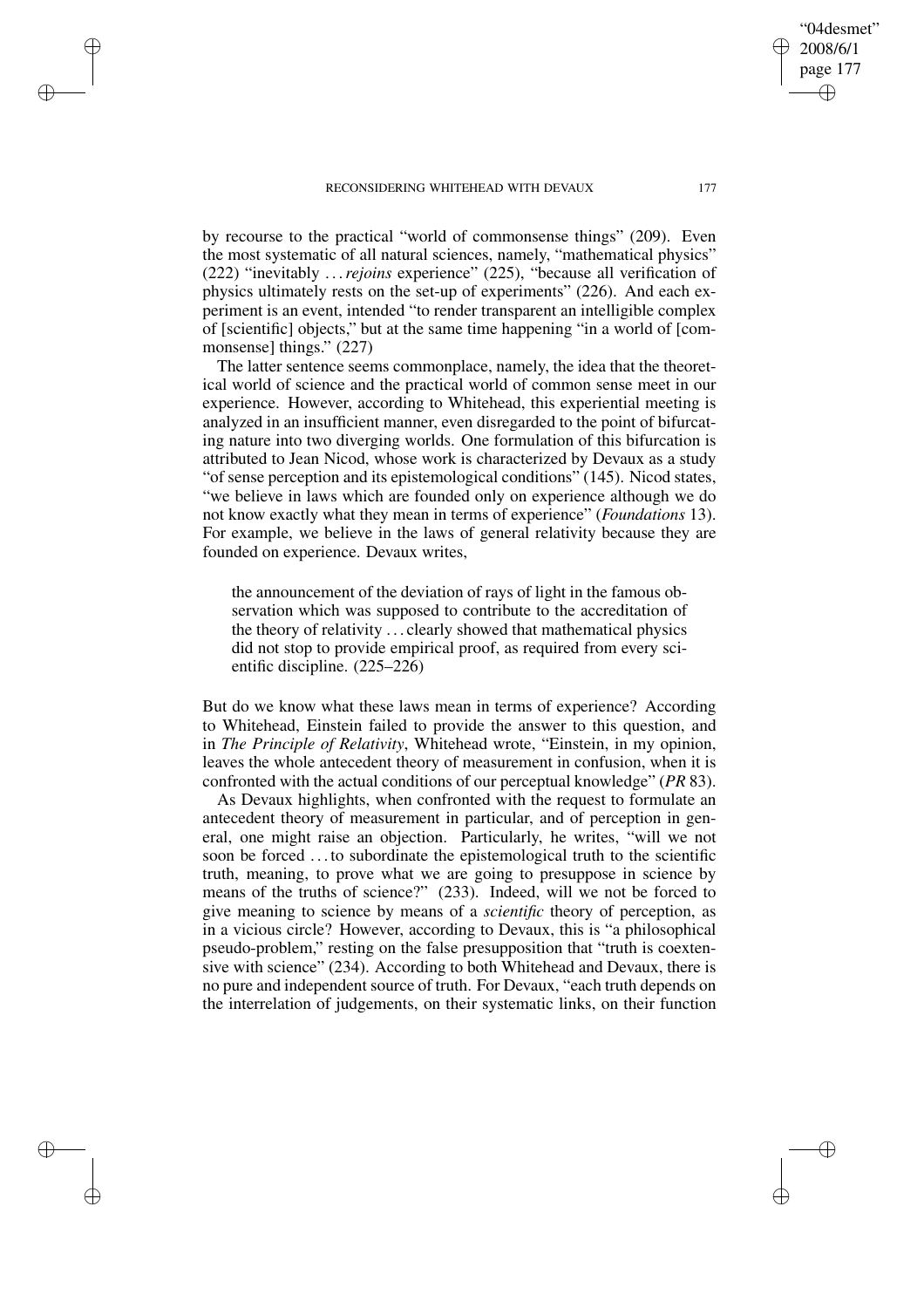✐

✐

✐

✐

by recourse to the practical "world of commonsense things" (209). Even the most systematic of all natural sciences, namely, "mathematical physics" (222) "inevitably . . .*rejoins* experience" (225), "because all verification of physics ultimately rests on the set-up of experiments" (226). And each experiment is an event, intended "to render transparent an intelligible complex of [scientific] objects," but at the same time happening "in a world of [commonsense] things." (227)

The latter sentence seems commonplace, namely, the idea that the theoretical world of science and the practical world of common sense meet in our experience. However, according to Whitehead, this experiential meeting is analyzed in an insufficient manner, even disregarded to the point of bifurcating nature into two diverging worlds. One formulation of this bifurcation is attributed to Jean Nicod, whose work is characterized by Devaux as a study "of sense perception and its epistemological conditions" (145). Nicod states, "we believe in laws which are founded only on experience although we do not know exactly what they mean in terms of experience" (*Foundations* 13). For example, we believe in the laws of general relativity because they are founded on experience. Devaux writes,

the announcement of the deviation of rays of light in the famous observation which was supposed to contribute to the accreditation of the theory of relativity . . . clearly showed that mathematical physics did not stop to provide empirical proof, as required from every scientific discipline. (225–226)

But do we know what these laws mean in terms of experience? According to Whitehead, Einstein failed to provide the answer to this question, and in *The Principle of Relativity*, Whitehead wrote, "Einstein, in my opinion, leaves the whole antecedent theory of measurement in confusion, when it is confronted with the actual conditions of our perceptual knowledge" (*PR* 83).

As Devaux highlights, when confronted with the request to formulate an antecedent theory of measurement in particular, and of perception in general, one might raise an objection. Particularly, he writes, "will we not soon be forced . . . to subordinate the epistemological truth to the scientific truth, meaning, to prove what we are going to presuppose in science by means of the truths of science?" (233). Indeed, will we not be forced to give meaning to science by means of a *scientific* theory of perception, as in a vicious circle? However, according to Devaux, this is "a philosophical pseudo-problem," resting on the false presupposition that "truth is coextensive with science" (234). According to both Whitehead and Devaux, there is no pure and independent source of truth. For Devaux, "each truth depends on the interrelation of judgements, on their systematic links, on their function

"04desmet" 2008/6/1 page 177

✐

✐

✐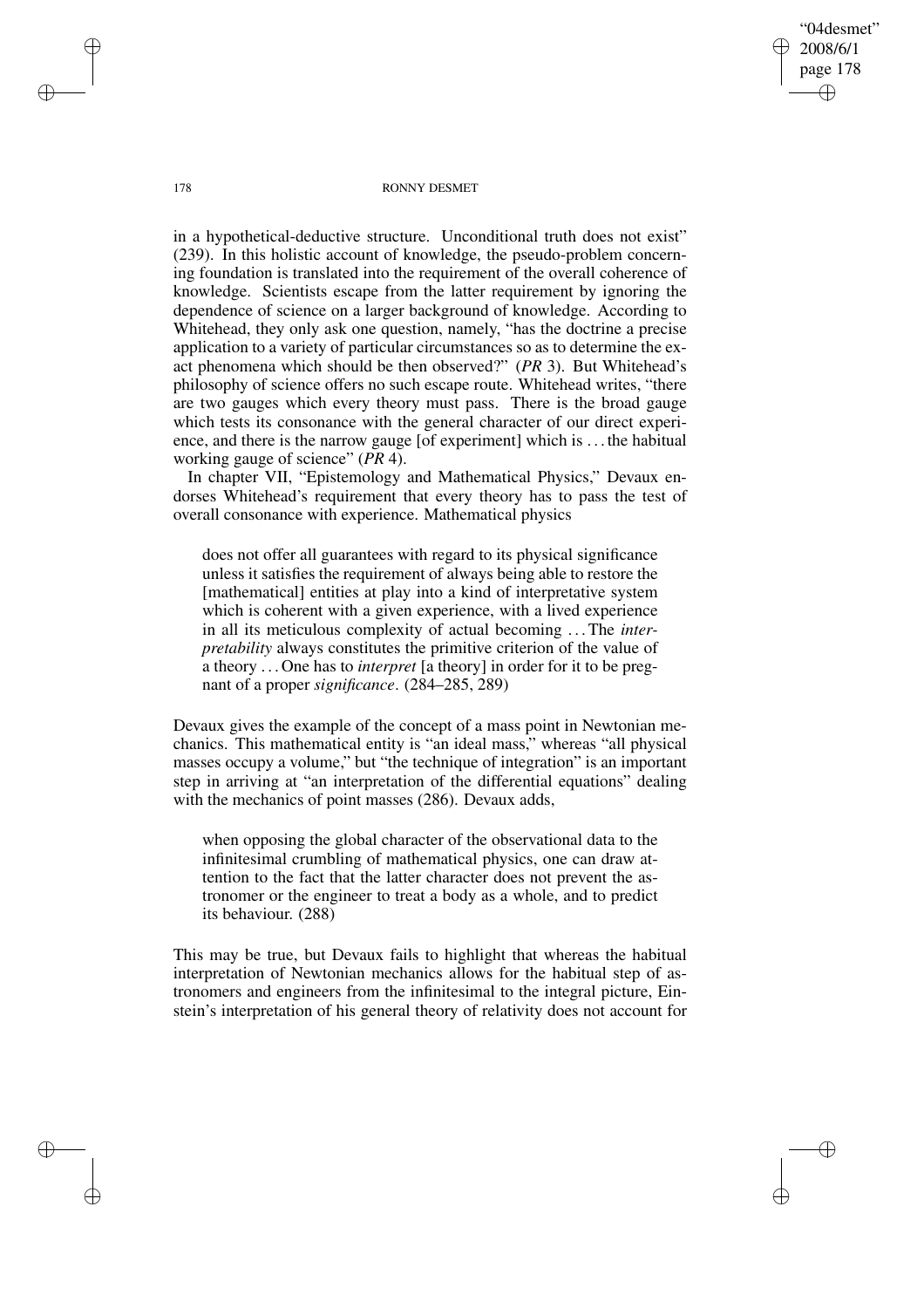"04desmet" 2008/6/1 page 178 ✐ ✐

✐

✐

### 178 RONNY DESMET

in a hypothetical-deductive structure. Unconditional truth does not exist" (239). In this holistic account of knowledge, the pseudo-problem concerning foundation is translated into the requirement of the overall coherence of knowledge. Scientists escape from the latter requirement by ignoring the dependence of science on a larger background of knowledge. According to Whitehead, they only ask one question, namely, "has the doctrine a precise application to a variety of particular circumstances so as to determine the exact phenomena which should be then observed?" (*PR* 3). But Whitehead's philosophy of science offers no such escape route. Whitehead writes, "there are two gauges which every theory must pass. There is the broad gauge which tests its consonance with the general character of our direct experience, and there is the narrow gauge [of experiment] which is . . . the habitual working gauge of science" (*PR* 4).

In chapter VII, "Epistemology and Mathematical Physics," Devaux endorses Whitehead's requirement that every theory has to pass the test of overall consonance with experience. Mathematical physics

does not offer all guarantees with regard to its physical significance unless it satisfies the requirement of always being able to restore the [mathematical] entities at play into a kind of interpretative system which is coherent with a given experience, with a lived experience in all its meticulous complexity of actual becoming . . .The *interpretability* always constitutes the primitive criterion of the value of a theory . . . One has to *interpret* [a theory] in order for it to be pregnant of a proper *significance*. (284–285, 289)

Devaux gives the example of the concept of a mass point in Newtonian mechanics. This mathematical entity is "an ideal mass," whereas "all physical masses occupy a volume," but "the technique of integration" is an important step in arriving at "an interpretation of the differential equations" dealing with the mechanics of point masses (286). Devaux adds,

when opposing the global character of the observational data to the infinitesimal crumbling of mathematical physics, one can draw attention to the fact that the latter character does not prevent the astronomer or the engineer to treat a body as a whole, and to predict its behaviour. (288)

This may be true, but Devaux fails to highlight that whereas the habitual interpretation of Newtonian mechanics allows for the habitual step of astronomers and engineers from the infinitesimal to the integral picture, Einstein's interpretation of his general theory of relativity does not account for

✐

✐

✐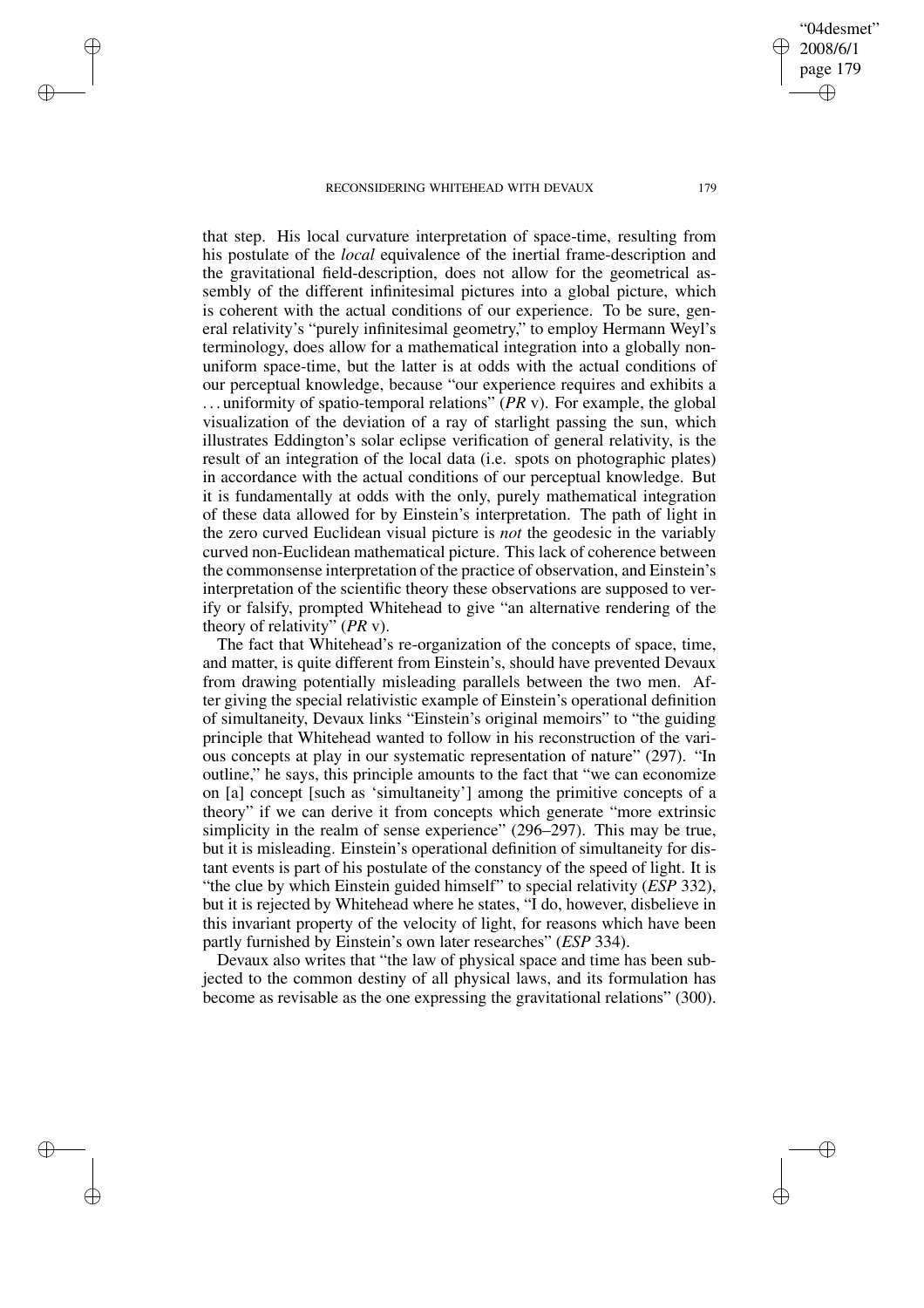✐

✐

✐

✐

that step. His local curvature interpretation of space-time, resulting from his postulate of the *local* equivalence of the inertial frame-description and the gravitational field-description, does not allow for the geometrical assembly of the different infinitesimal pictures into a global picture, which is coherent with the actual conditions of our experience. To be sure, general relativity's "purely infinitesimal geometry," to employ Hermann Weyl's terminology, does allow for a mathematical integration into a globally nonuniform space-time, but the latter is at odds with the actual conditions of our perceptual knowledge, because "our experience requires and exhibits a . . . uniformity of spatio-temporal relations" (*PR* v). For example, the global visualization of the deviation of a ray of starlight passing the sun, which illustrates Eddington's solar eclipse verification of general relativity, is the result of an integration of the local data (i.e. spots on photographic plates) in accordance with the actual conditions of our perceptual knowledge. But it is fundamentally at odds with the only, purely mathematical integration of these data allowed for by Einstein's interpretation. The path of light in the zero curved Euclidean visual picture is *not* the geodesic in the variably curved non-Euclidean mathematical picture. This lack of coherence between the commonsense interpretation of the practice of observation, and Einstein's interpretation of the scientific theory these observations are supposed to verify or falsify, prompted Whitehead to give "an alternative rendering of the theory of relativity" (*PR* v).

The fact that Whitehead's re-organization of the concepts of space, time, and matter, is quite different from Einstein's, should have prevented Devaux from drawing potentially misleading parallels between the two men. After giving the special relativistic example of Einstein's operational definition of simultaneity, Devaux links "Einstein's original memoirs" to "the guiding principle that Whitehead wanted to follow in his reconstruction of the various concepts at play in our systematic representation of nature" (297). "In outline," he says, this principle amounts to the fact that "we can economize on [a] concept [such as 'simultaneity'] among the primitive concepts of a theory" if we can derive it from concepts which generate "more extrinsic simplicity in the realm of sense experience" (296–297). This may be true, but it is misleading. Einstein's operational definition of simultaneity for distant events is part of his postulate of the constancy of the speed of light. It is "the clue by which Einstein guided himself" to special relativity (*ESP* 332), but it is rejected by Whitehead where he states, "I do, however, disbelieve in this invariant property of the velocity of light, for reasons which have been partly furnished by Einstein's own later researches" (*ESP* 334).

Devaux also writes that "the law of physical space and time has been subjected to the common destiny of all physical laws, and its formulation has become as revisable as the one expressing the gravitational relations" (300).

"04desmet" 2008/6/1 page 179

✐

✐

✐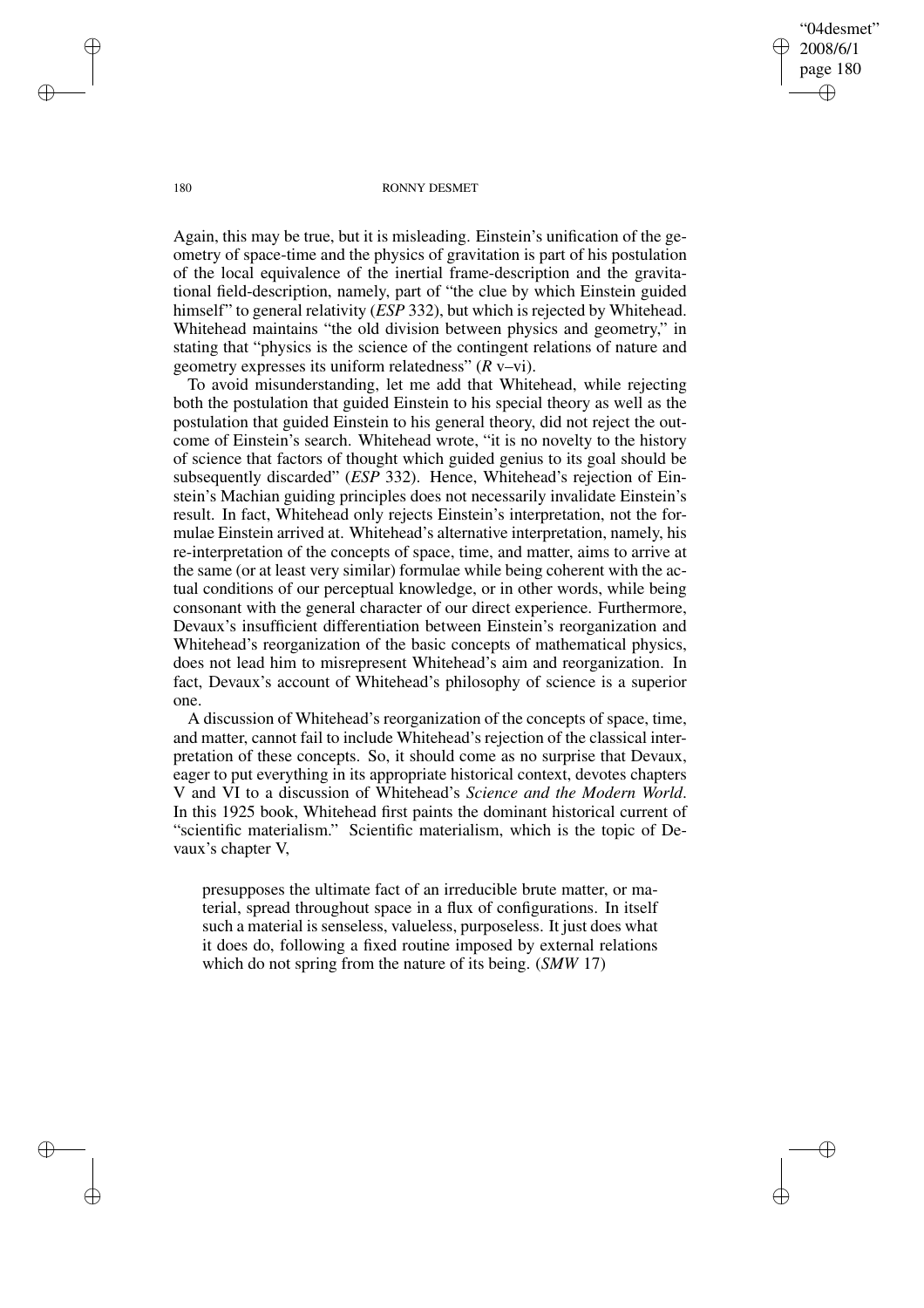"04desmet" 2008/6/1 page 180 ✐ ✐

✐

✐

### 180 RONNY DESMET

Again, this may be true, but it is misleading. Einstein's unification of the geometry of space-time and the physics of gravitation is part of his postulation of the local equivalence of the inertial frame-description and the gravitational field-description, namely, part of "the clue by which Einstein guided himself" to general relativity (*ESP* 332), but which is rejected by Whitehead. Whitehead maintains "the old division between physics and geometry," in stating that "physics is the science of the contingent relations of nature and geometry expresses its uniform relatedness" (*R* v–vi).

To avoid misunderstanding, let me add that Whitehead, while rejecting both the postulation that guided Einstein to his special theory as well as the postulation that guided Einstein to his general theory, did not reject the outcome of Einstein's search. Whitehead wrote, "it is no novelty to the history of science that factors of thought which guided genius to its goal should be subsequently discarded" (*ESP* 332). Hence, Whitehead's rejection of Einstein's Machian guiding principles does not necessarily invalidate Einstein's result. In fact, Whitehead only rejects Einstein's interpretation, not the formulae Einstein arrived at. Whitehead's alternative interpretation, namely, his re-interpretation of the concepts of space, time, and matter, aims to arrive at the same (or at least very similar) formulae while being coherent with the actual conditions of our perceptual knowledge, or in other words, while being consonant with the general character of our direct experience. Furthermore, Devaux's insufficient differentiation between Einstein's reorganization and Whitehead's reorganization of the basic concepts of mathematical physics, does not lead him to misrepresent Whitehead's aim and reorganization. In fact, Devaux's account of Whitehead's philosophy of science is a superior one.

A discussion of Whitehead's reorganization of the concepts of space, time, and matter, cannot fail to include Whitehead's rejection of the classical interpretation of these concepts. So, it should come as no surprise that Devaux, eager to put everything in its appropriate historical context, devotes chapters V and VI to a discussion of Whitehead's *Science and the Modern World*. In this 1925 book, Whitehead first paints the dominant historical current of "scientific materialism." Scientific materialism, which is the topic of Devaux's chapter V,

presupposes the ultimate fact of an irreducible brute matter, or material, spread throughout space in a flux of configurations. In itself such a material is senseless, valueless, purposeless. It just does what it does do, following a fixed routine imposed by external relations which do not spring from the nature of its being. (*SMW* 17)

✐

✐

✐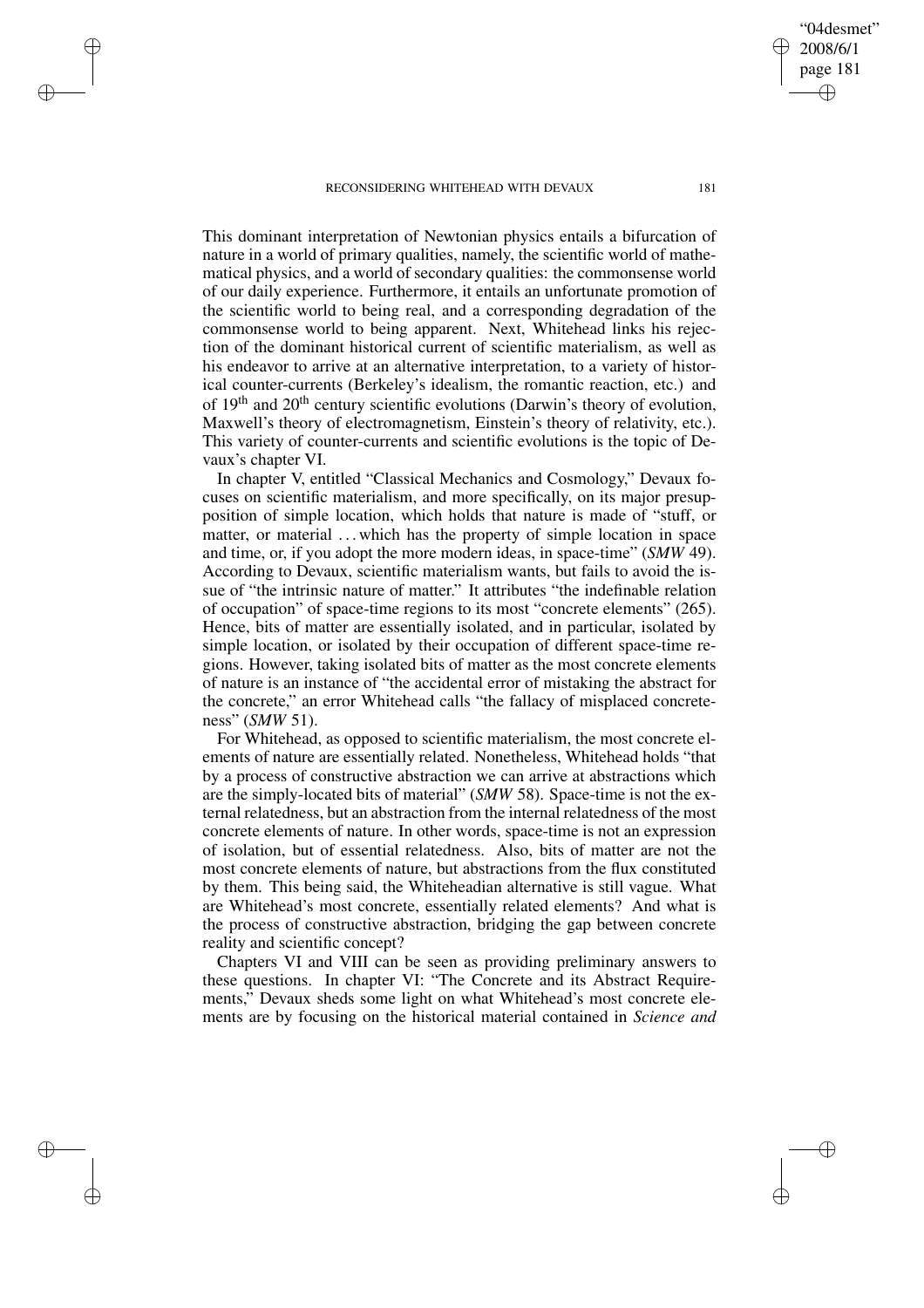✐

✐

✐

✐

This dominant interpretation of Newtonian physics entails a bifurcation of nature in a world of primary qualities, namely, the scientific world of mathematical physics, and a world of secondary qualities: the commonsense world of our daily experience. Furthermore, it entails an unfortunate promotion of the scientific world to being real, and a corresponding degradation of the commonsense world to being apparent. Next, Whitehead links his rejection of the dominant historical current of scientific materialism, as well as his endeavor to arrive at an alternative interpretation, to a variety of historical counter-currents (Berkeley's idealism, the romantic reaction, etc.) and of  $19<sup>th</sup>$  and  $20<sup>th</sup>$  century scientific evolutions (Darwin's theory of evolution, Maxwell's theory of electromagnetism, Einstein's theory of relativity, etc.). This variety of counter-currents and scientific evolutions is the topic of Devaux's chapter VI.

In chapter V, entitled "Classical Mechanics and Cosmology," Devaux focuses on scientific materialism, and more specifically, on its major presupposition of simple location, which holds that nature is made of "stuff, or matter, or material ... which has the property of simple location in space and time, or, if you adopt the more modern ideas, in space-time" (*SMW* 49). According to Devaux, scientific materialism wants, but fails to avoid the issue of "the intrinsic nature of matter." It attributes "the indefinable relation of occupation" of space-time regions to its most "concrete elements" (265). Hence, bits of matter are essentially isolated, and in particular, isolated by simple location, or isolated by their occupation of different space-time regions. However, taking isolated bits of matter as the most concrete elements of nature is an instance of "the accidental error of mistaking the abstract for the concrete," an error Whitehead calls "the fallacy of misplaced concreteness" (*SMW* 51).

For Whitehead, as opposed to scientific materialism, the most concrete elements of nature are essentially related. Nonetheless, Whitehead holds "that by a process of constructive abstraction we can arrive at abstractions which are the simply-located bits of material" (*SMW* 58). Space-time is not the external relatedness, but an abstraction from the internal relatedness of the most concrete elements of nature. In other words, space-time is not an expression of isolation, but of essential relatedness. Also, bits of matter are not the most concrete elements of nature, but abstractions from the flux constituted by them. This being said, the Whiteheadian alternative is still vague. What are Whitehead's most concrete, essentially related elements? And what is the process of constructive abstraction, bridging the gap between concrete reality and scientific concept?

Chapters VI and VIII can be seen as providing preliminary answers to these questions. In chapter VI: "The Concrete and its Abstract Requirements," Devaux sheds some light on what Whitehead's most concrete elements are by focusing on the historical material contained in *Science and*

✐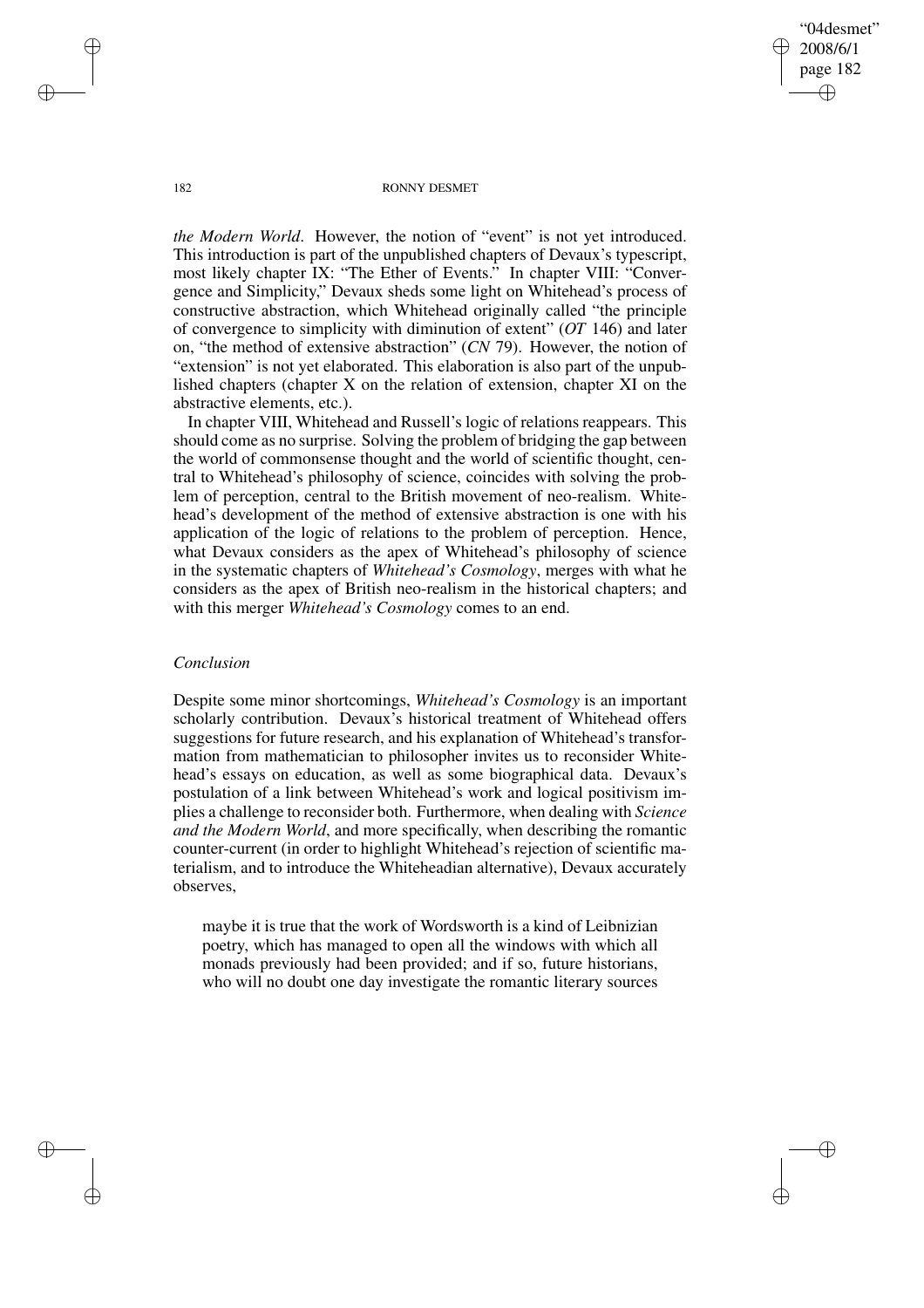"04desmet" 2008/6/1 page 182 ✐ ✐

✐

✐

### 182 RONNY DESMET

*the Modern World*. However, the notion of "event" is not yet introduced. This introduction is part of the unpublished chapters of Devaux's typescript, most likely chapter IX: "The Ether of Events." In chapter VIII: "Convergence and Simplicity," Devaux sheds some light on Whitehead's process of constructive abstraction, which Whitehead originally called "the principle of convergence to simplicity with diminution of extent" (*OT* 146) and later on, "the method of extensive abstraction" (*CN* 79). However, the notion of "extension" is not yet elaborated. This elaboration is also part of the unpublished chapters (chapter X on the relation of extension, chapter XI on the abstractive elements, etc.).

In chapter VIII, Whitehead and Russell's logic of relations reappears. This should come as no surprise. Solving the problem of bridging the gap between the world of commonsense thought and the world of scientific thought, central to Whitehead's philosophy of science, coincides with solving the problem of perception, central to the British movement of neo-realism. Whitehead's development of the method of extensive abstraction is one with his application of the logic of relations to the problem of perception. Hence, what Devaux considers as the apex of Whitehead's philosophy of science in the systematic chapters of *Whitehead's Cosmology*, merges with what he considers as the apex of British neo-realism in the historical chapters; and with this merger *Whitehead's Cosmology* comes to an end.

# *Conclusion*

Despite some minor shortcomings, *Whitehead's Cosmology* is an important scholarly contribution. Devaux's historical treatment of Whitehead offers suggestions for future research, and his explanation of Whitehead's transformation from mathematician to philosopher invites us to reconsider Whitehead's essays on education, as well as some biographical data. Devaux's postulation of a link between Whitehead's work and logical positivism implies a challenge to reconsider both. Furthermore, when dealing with *Science and the Modern World*, and more specifically, when describing the romantic counter-current (in order to highlight Whitehead's rejection of scientific materialism, and to introduce the Whiteheadian alternative), Devaux accurately observes,

maybe it is true that the work of Wordsworth is a kind of Leibnizian poetry, which has managed to open all the windows with which all monads previously had been provided; and if so, future historians, who will no doubt one day investigate the romantic literary sources

✐

✐

✐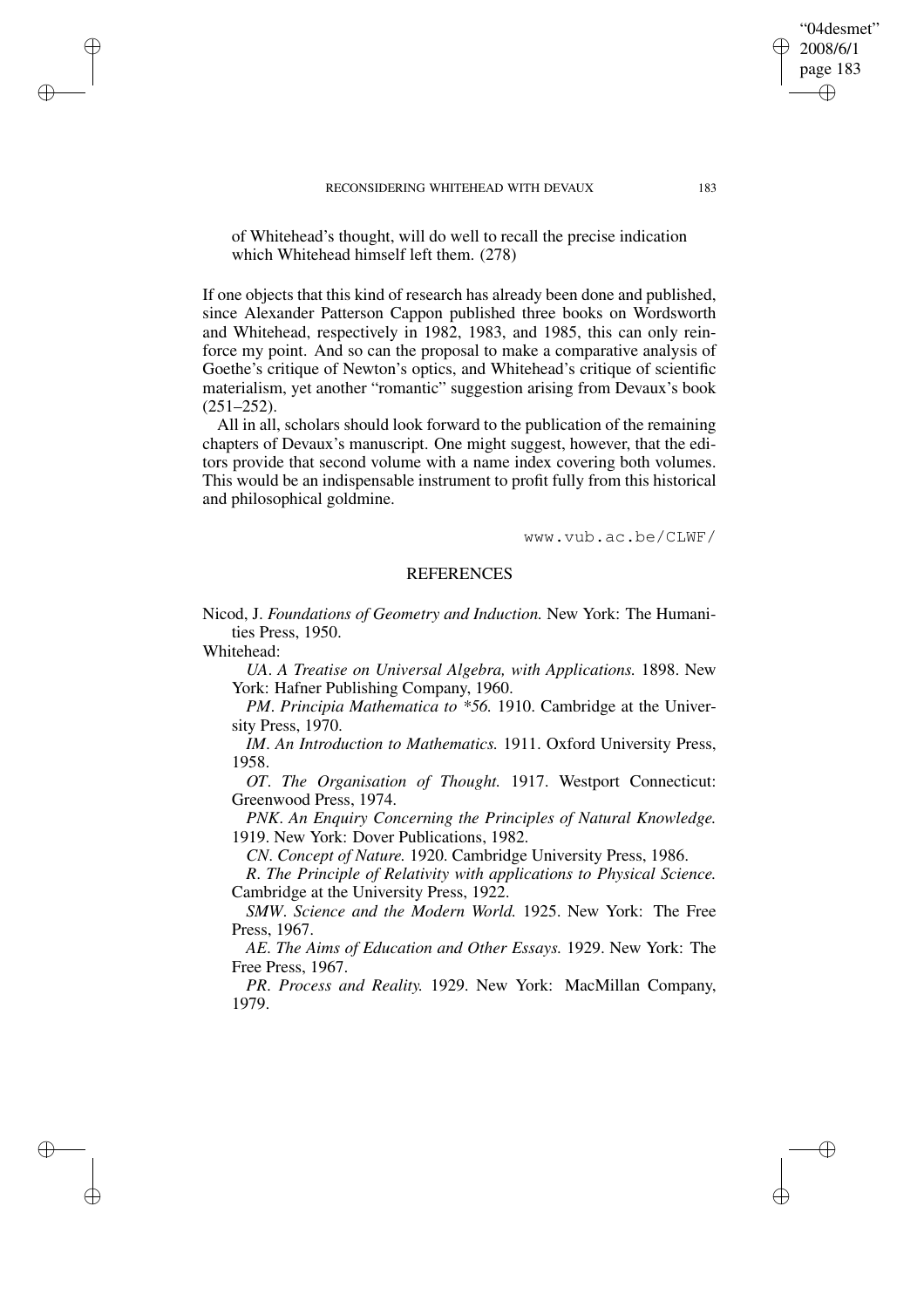of Whitehead's thought, will do well to recall the precise indication which Whitehead himself left them. (278)

If one objects that this kind of research has already been done and published, since Alexander Patterson Cappon published three books on Wordsworth and Whitehead, respectively in 1982, 1983, and 1985, this can only reinforce my point. And so can the proposal to make a comparative analysis of Goethe's critique of Newton's optics, and Whitehead's critique of scientific materialism, yet another "romantic" suggestion arising from Devaux's book  $(251-252)$ .

All in all, scholars should look forward to the publication of the remaining chapters of Devaux's manuscript. One might suggest, however, that the editors provide that second volume with a name index covering both volumes. This would be an indispensable instrument to profit fully from this historical and philosophical goldmine.

www.vub.ac.be/CLWF/

# **REFERENCES**

Nicod, J. *Foundations of Geometry and Induction.* New York: The Humanities Press, 1950.

Whitehead:

✐

✐

✐

✐

*UA*. *A Treatise on Universal Algebra, with Applications.* 1898. New York: Hafner Publishing Company, 1960.

*PM*. *Principia Mathematica to \*56.* 1910. Cambridge at the University Press, 1970.

*IM*. *An Introduction to Mathematics.* 1911. Oxford University Press, 1958.

*OT*. *The Organisation of Thought.* 1917. Westport Connecticut: Greenwood Press, 1974.

*PNK*. *An Enquiry Concerning the Principles of Natural Knowledge.* 1919. New York: Dover Publications, 1982.

*CN*. *Concept of Nature.* 1920. Cambridge University Press, 1986.

*R*. *The Principle of Relativity with applications to Physical Science.* Cambridge at the University Press, 1922.

*SMW*. *Science and the Modern World.* 1925. New York: The Free Press, 1967.

*AE*. *The Aims of Education and Other Essays.* 1929. New York: The Free Press, 1967.

*PR*. *Process and Reality.* 1929. New York: MacMillan Company, 1979.

"04desmet" 2008/6/1 page 183

✐

✐

✐